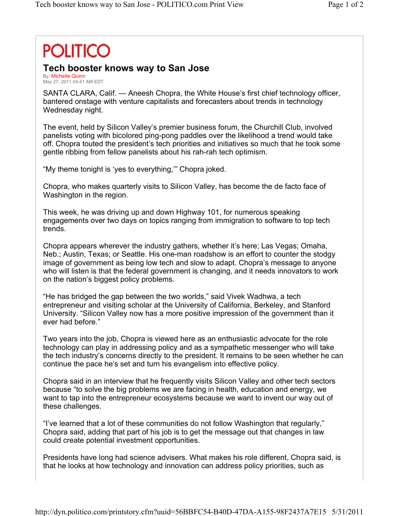## **POLITICO**

## **Tech booster knows way to San Jose**

By: Michelle Quinn May 27, 2011 04:41 AM EDT

SANTA CLARA, Calif. — Aneesh Chopra, the White House's first chief technology officer, bantered onstage with venture capitalists and forecasters about trends in technology Wednesday night.

The event, held by Silicon Valley's premier business forum, the Churchill Club, involved panelists voting with bicolored ping-pong paddles over the likelihood a trend would take off. Chopra touted the president's tech priorities and initiatives so much that he took some gentle ribbing from fellow panelists about his rah-rah tech optimism.

"My theme tonight is 'yes to everything," Chopra joked.

Chopra, who makes quarterly visits to Silicon Valley, has become the de facto face of Washington in the region.

This week, he was driving up and down Highway 101, for numerous speaking engagements over two days on topics ranging from immigration to software to top tech trends.

Chopra appears wherever the industry gathers, whether it's here; Las Vegas; Omaha, Neb.; Austin, Texas; or Seattle. His one-man roadshow is an effort to counter the stodgy image of government as being low tech and slow to adapt. Chopra's message to anyone who will listen is that the federal government is changing, and it needs innovators to work on the nation's biggest policy problems.

³He has bridged the gap between the two worlds,´ said Vivek Wadhwa, a tech entrepreneur and visiting scholar at the University of California, Berkeley, and Stanford University. "Silicon Valley now has a more positive impression of the government than it ever had before."

Two years into the job, Chopra is viewed here as an enthusiastic advocate for the role technology can play in addressing policy and as a sympathetic messenger who will take the tech industry's concerns directly to the president. It remains to be seen whether he can continue the pace he's set and turn his evangelism into effective policy.

Chopra said in an interview that he frequently visits Silicon Valley and other tech sectors because "to solve the big problems we are facing in health, education and energy, we want to tap into the entrepreneur ecosystems because we want to invent our way out of these challenges.

"I've learned that a lot of these communities do not follow Washington that regularly," Chopra said, adding that part of his job is to get the message out that changes in law could create potential investment opportunities.

Presidents have long had science advisers. What makes his role different, Chopra said, is that he looks at how technology and innovation can address policy priorities, such as